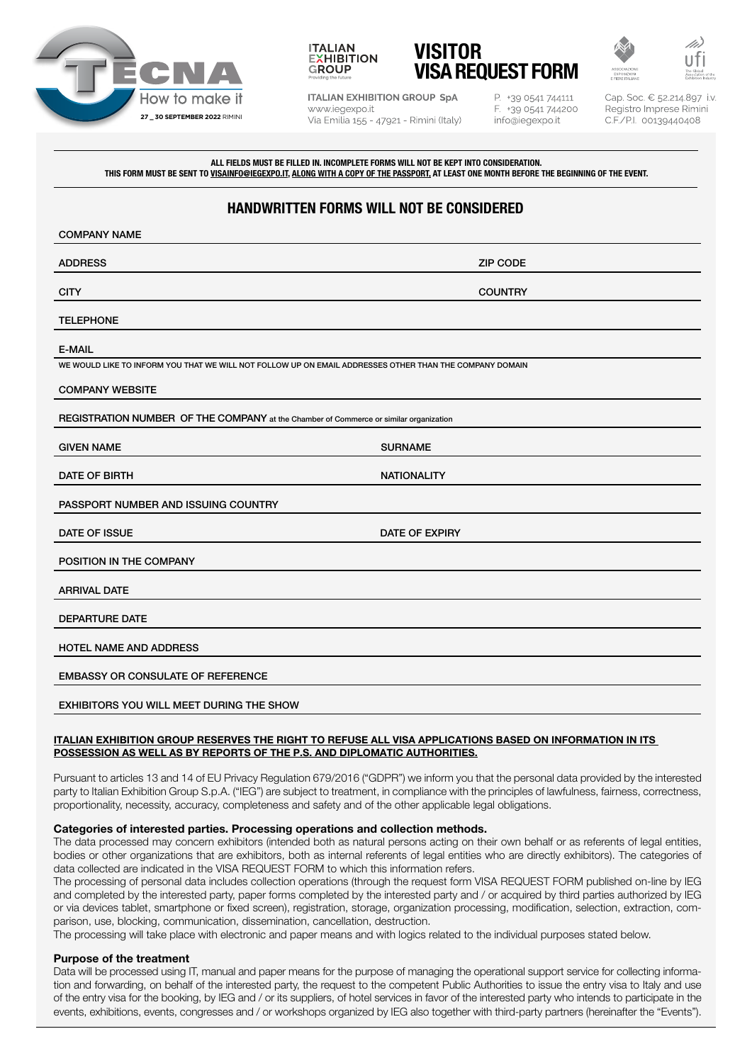







**ITALIAN EXHIBITION GROUP SpA** www.iegexpo.it Via Emilia 155 - 47921 - Rimini (Italy) P. +39 0541 744111 F. +39 0541 744200 info@iegexpo.it

Cap. Soc. € 52.214.897 i.v. Registro Imprese Rimini C.F./P.I. 00139440408

ALL FIELDS MUST BE FILLED IN. INCOMPLETE FORMS WILL NOT BE KEPT INTO CONSIDERATION. THIS FORM MUST BE SENT TO <u>VISAINFO@IEGEXPO.IT, ALONG WITH A COPY OF THE PASSPORT</u>, AT LEAST ONE MONTH BEFORE THE BEGINNING OF THE EVENT.

# HANDWRITTEN FORMS WILL NOT BE CONSIDERED

| <b>COMPANY NAME</b>                                                                                     |                       |  |
|---------------------------------------------------------------------------------------------------------|-----------------------|--|
| <b>ADDRESS</b>                                                                                          | <b>ZIP CODE</b>       |  |
| <b>CITY</b>                                                                                             | <b>COUNTRY</b>        |  |
| <b>TELEPHONE</b>                                                                                        |                       |  |
| <b>E-MAIL</b>                                                                                           |                       |  |
| WE WOULD LIKE TO INFORM YOU THAT WE WILL NOT FOLLOW UP ON EMAIL ADDRESSES OTHER THAN THE COMPANY DOMAIN |                       |  |
| <b>COMPANY WEBSITE</b>                                                                                  |                       |  |
| REGISTRATION NUMBER OF THE COMPANY at the Chamber of Commerce or similar organization                   |                       |  |
| <b>GIVEN NAME</b>                                                                                       | <b>SURNAME</b>        |  |
| DATE OF BIRTH                                                                                           | <b>NATIONALITY</b>    |  |
| PASSPORT NUMBER AND ISSUING COUNTRY                                                                     |                       |  |
| DATE OF ISSUE                                                                                           | <b>DATE OF EXPIRY</b> |  |
| POSITION IN THE COMPANY                                                                                 |                       |  |
| <b>ARRIVAL DATE</b>                                                                                     |                       |  |
| <b>DEPARTURE DATE</b>                                                                                   |                       |  |
| <b>HOTEL NAME AND ADDRESS</b>                                                                           |                       |  |
| <b>EMBASSY OR CONSULATE OF REFERENCE</b>                                                                |                       |  |
| EXHIBITORS YOU WILL MEET DURING THE SHOW                                                                |                       |  |

## ITALIAN EXHIBITION GROUP RESERVES THE RIGHT TO REFUSE ALL VISA APPLICATIONS BASED ON INFORMATION IN ITS POSSESSION AS WELL AS BY REPORTS OF THE P.S. AND DIPLOMATIC AUTHORITIES.

Pursuant to articles 13 and 14 of EU Privacy Regulation 679/2016 ("GDPR") we inform you that the personal data provided by the interested party to Italian Exhibition Group S.p.A. ("IEG") are subject to treatment, in compliance with the principles of lawfulness, fairness, correctness, proportionality, necessity, accuracy, completeness and safety and of the other applicable legal obligations.

## Categories of interested parties. Processing operations and collection methods.

The data processed may concern exhibitors (intended both as natural persons acting on their own behalf or as referents of legal entities, bodies or other organizations that are exhibitors, both as internal referents of legal entities who are directly exhibitors). The categories of data collected are indicated in the VISA REQUEST FORM to which this information refers.

The processing of personal data includes collection operations (through the request form VISA REQUEST FORM published on-line by IEG and completed by the interested party, paper forms completed by the interested party and / or acquired by third parties authorized by IEG or via devices tablet, smartphone or fixed screen), registration, storage, organization processing, modification, selection, extraction, comparison, use, blocking, communication, dissemination, cancellation, destruction.

The processing will take place with electronic and paper means and with logics related to the individual purposes stated below.

## Purpose of the treatment

Data will be processed using IT, manual and paper means for the purpose of managing the operational support service for collecting information and forwarding, on behalf of the interested party, the request to the competent Public Authorities to issue the entry visa to Italy and use of the entry visa for the booking, by IEG and / or its suppliers, of hotel services in favor of the interested party who intends to participate in the events, exhibitions, events, congresses and / or workshops organized by IEG also together with third-party partners (hereinafter the "Events").